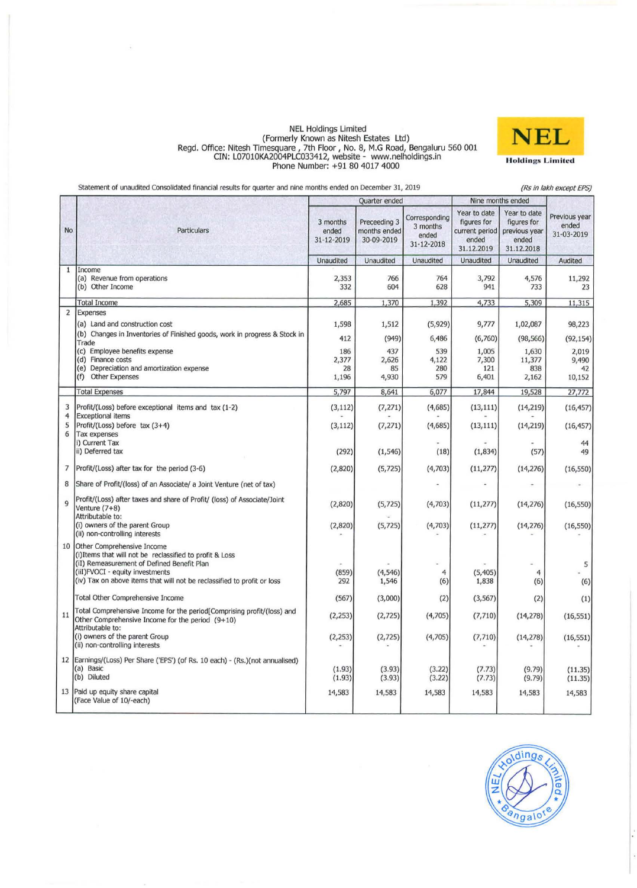### NEL Holdings Limited (Formerly Known as Nitesh Estates Ltd) **Regd. Office: Nitesh TimesQuare 17th Floor I No.8, M.G Road, Bengaluru 560 001**  CIN: L0701OKA2004PLC033412, website - www.nelholdings.in Phone Number: +91 80 4017 4000



**Statement of unaudited Consolidated financial results for quarter and nine months ended on December 31, 2019** 

 $\bar{s}$ 

*(Rs* **in** *lakh* **except** *EPS)* 

|                     |                                                                                                                                                                                                                                                    | Quarter ended                   |                                            |                                                  | Nine months ended                                                    |                                                                     |                                      |
|---------------------|----------------------------------------------------------------------------------------------------------------------------------------------------------------------------------------------------------------------------------------------------|---------------------------------|--------------------------------------------|--------------------------------------------------|----------------------------------------------------------------------|---------------------------------------------------------------------|--------------------------------------|
| No                  | <b>Particulars</b>                                                                                                                                                                                                                                 | 3 months<br>ended<br>31-12-2019 | Preceeding 3<br>months ended<br>30-09-2019 | Corresponding<br>3 months<br>ended<br>31-12-2018 | Year to date<br>figures for<br>current period<br>ended<br>31.12.2019 | Year to date<br>figures for<br>previous year<br>ended<br>31.12.2018 | Previous year<br>ended<br>31-03-2019 |
|                     |                                                                                                                                                                                                                                                    | Unaudited                       | Unaudited                                  | Unaudited                                        | Unaudited                                                            | Unaudited                                                           | Audited                              |
| $\mathbf{1}$        | Income<br>(a) Revenue from operations<br>(b) Other Income                                                                                                                                                                                          | 2,353<br>332                    | 766<br>604                                 | 764<br>628                                       | 3,792<br>941                                                         | 4,576<br>733                                                        | 11,292<br>23                         |
|                     | <b>Total Income</b>                                                                                                                                                                                                                                | 2,685                           | 1,370                                      | 1,392                                            | 4,733                                                                | 5,309                                                               | 11,315                               |
| $\overline{2}$      | Expenses<br>(a) Land and construction cost<br>(b) Changes in Inventories of Finished goods, work in progress & Stock in                                                                                                                            | 1,598<br>412                    | 1,512<br>(949)                             | (5,929)<br>6,486                                 | 9,777<br>(6,760)                                                     | 1,02,087<br>(98, 566)                                               | 98,223<br>(92, 154)                  |
|                     | Trade<br>(c) Employee benefits expense<br>(d) Finance costs<br>(e) Depreciation and amortization expense<br>(f) Other Expenses                                                                                                                     | 186<br>2,377<br>28<br>1,196     | 437<br>2,626<br>85<br>4,930                | 539<br>4,122<br>280<br>579                       | 1,005<br>7,300<br>121<br>6,401                                       | 1,630<br>11,377<br>838<br>2,162                                     | 2,019<br>9,490<br>42<br>10,152       |
|                     | <b>Total Expenses</b>                                                                                                                                                                                                                              | 5,797                           | 8,641                                      | 6,077                                            | 17,844                                                               | 19,528                                                              | 27,772                               |
| 3<br>$\overline{4}$ | Profit/(Loss) before exceptional items and tax (1-2)<br><b>Exceptional items</b>                                                                                                                                                                   | (3, 112)                        | (7, 271)                                   | (4,685)                                          | (13, 111)                                                            | (14, 219)                                                           | (16, 457)                            |
| 5<br>6              | Profit/(Loss) before tax (3+4)<br>Tax expenses                                                                                                                                                                                                     | (3, 112)                        | (7, 271)                                   | (4,685)                                          | (13, 111)                                                            | (14, 219)                                                           | (16, 457)                            |
|                     | i) Current Tax<br>ii) Deferred tax                                                                                                                                                                                                                 | (292)                           | (1, 546)                                   | (18)                                             | (1,834)                                                              | (57)                                                                | 44<br>49                             |
| $\overline{7}$      | Profit/(Loss) after tax for the period (3-6)                                                                                                                                                                                                       | (2,820)                         | (5, 725)                                   | (4,703)                                          | (11, 277)                                                            | (14, 276)                                                           | (16, 550)                            |
| 8                   | Share of Profit/(loss) of an Associate/ a Joint Venture (net of tax)                                                                                                                                                                               |                                 |                                            |                                                  |                                                                      |                                                                     |                                      |
| 9                   | Profit/(Loss) after taxes and share of Profit/ (loss) of Associate/Joint<br>Venture (7+8)<br>Attributable to:<br>(i) owners of the parent Group                                                                                                    | (2,820)<br>(2,820)              | (5, 725)<br>(5, 725)                       | (4,703)<br>(4,703)                               | (11, 277)                                                            | (14,276)                                                            | (16, 550)                            |
|                     | (ii) non-controlling interests                                                                                                                                                                                                                     |                                 |                                            |                                                  | (11, 277)                                                            | (14, 276)                                                           | (16, 550)                            |
| 10                  | Other Comprehensive Income<br>(i) Items that will not be reclassified to profit & Loss<br>(iI) Remeasurement of Defined Benefit Plan<br>(iiI)FVOCI - equity investments<br>(iv) Tax on above items that will not be reclassified to profit or loss | (859)<br>292                    | (4, 546)<br>1,546                          | 4<br>(6)                                         | (5, 405)<br>1,838                                                    | $\overline{4}$<br>(6)                                               | 5<br>(6)                             |
|                     | Total Other Comprehensive Income                                                                                                                                                                                                                   | (567)                           | (3,000)                                    | (2)                                              | (3, 567)                                                             | (2)                                                                 | (1)                                  |
| 11                  | Total Comprehensive Income for the period[Comprising profit/(loss) and<br>Other Comprehensive Income for the period (9+10)<br>Attributable to:                                                                                                     | (2, 253)                        | (2, 725)                                   | (4,705)                                          | (7,710)                                                              | (14, 278)                                                           | (16, 551)                            |
|                     | (i) owners of the parent Group<br>(ii) non-controlling interests                                                                                                                                                                                   | (2, 253)                        | (2, 725)                                   | (4,705)                                          | (7,710)                                                              | (14,278)                                                            | (16, 551)                            |
|                     | 12   Earnings/(Loss) Per Share ('EPS') (of Rs. 10 each) - (Rs.) (not annualised)<br>(a) Basic<br>(b) Diluted                                                                                                                                       | (1.93)<br>(1.93)                | (3.93)<br>(3.93)                           | (3.22)<br>(3.22)                                 | (7.73)<br>(7.73)                                                     | (9.79)<br>(9.79)                                                    | (11.35)<br>(11.35)                   |
| 13                  | Paid up equity share capital<br>(Face Value of 10/-each)                                                                                                                                                                                           | 14,583                          | 14,583                                     | 14,583                                           | 14,583                                                               | 14,583                                                              | 14,583                               |

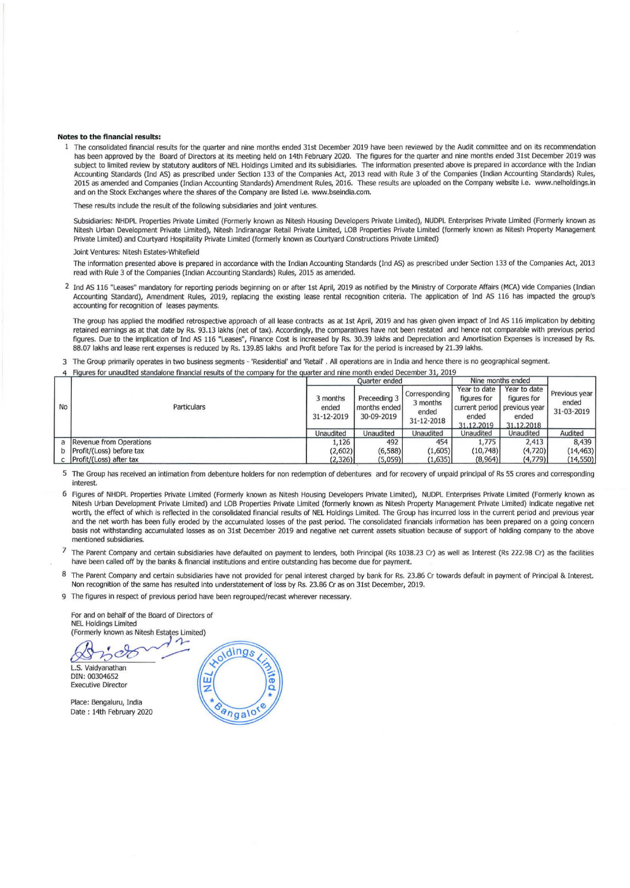#### Notes to the financial results:

1 The consolidated financial results for the quarter and nine months ended 31st December 2019 have been reviewed by the Audit committee and on its recommendation has been approved by the Board of Directors at its meeting held on 14th February 2020. The figures for the quarter and nine months ended 31st December 2019 was subject to limited review by statutory auditors of NEL Holdings Limited and its subisidiaries. The information presented above is prepared in accordance with the Indian Accounting Standards (Ind AS) as prescribed under Section 133 of the Companies Act, 2013 read with Rule 3 of the Companies (Indian Accounting Standards) Rules, 2015 as amended and Companies (Indian Accounting Standards) Amendment Rules, 2016. These results are uploaded on the Company website i.e. www.nelholdings.in and on the Stock Exchanges where the shares of the Company are listed i.e. www.bseindia.com.

These results include the result of the following subsidiaries and joint ventures.

Subsidiaries: NHDPL Properties Private Limited (Formerly known as Nitesh Housing Developers Private Limited), NUDPL Enterprises Private Limited (Formerly known as Nitesh Urban Development Private Limited), Nitesh Indiranagar Retail Private Limited, LOB Properties Private Limited (formerly known as Nitesh Property Management Private Limited) and Courtyard Hospitality Private Limited (formerly known as Courtyard Constructions Private Limited)

#### Joint Ventures: Nitesh Estates-Whitefield

The information presented above is prepared In accordance with the Indian Accounting Standards (lnd AS) as prescribed under Section 133 of the Companies Act, 2013 read with Rule 3 of the Companies (Indian Accounting Standards) Rules, 2015 as amended.

2 Ind AS 116 "Leases" mandatory for reporting periods beginning on or after 1st April, 2019 as notified by the Ministry of Corporate Affairs (MCA) vide Companies (Indian Accounting Standard), Amendment Rules, 2019, replacing the existing lease rental recognition criteria. The application of Ind AS 116 has impacted the group's accounting for recognition of leases payments.

The group has applied the modified retrospective approach of all lease contracts as at 1st April, 2019 and has given given impact of Ind AS 116 implication by debiting retained earnings as at that date by Rs. 93.13 lakhs (net of tax). Accordingly, the comparatives have not been restated and hence not comparable with previous period figures. Due to the implication of Ind AS 116 "Leases", Finance Cost is increased by Rs. 30.39 lakhs and Depreciation and Amortisation Expenses is increased by Rs. 88.07 lakhs and lease rent expenses is reduced by Rs. 139.85 lakhs and Profit before Tax for the period is increased by 21.39 lakhs.

3 The Group primarily operates in two business segments - 'Residential' and 'Retail' . AU operations are in India and hence there is no geographical segment.

Figures for unaudited standalone financial results of the company for the quarter and nine month ended December 31, 2019

|           |                            | <b>Ouarter</b> ended            |                                            |                                                  | Nine months ended                                                                  |                                                    |                                      |
|-----------|----------------------------|---------------------------------|--------------------------------------------|--------------------------------------------------|------------------------------------------------------------------------------------|----------------------------------------------------|--------------------------------------|
| <b>No</b> | Particulars                | 3 months<br>ended<br>31-12-2019 | Preceeding 3<br>months ended<br>30-09-2019 | Corresponding<br>3 months<br>ended<br>31-12-2018 | Year to date<br>figures for<br>current period previous year<br>ended<br>31.12.2019 | Year to date<br>figures for<br>ended<br>31.12.2018 | Previous year<br>ended<br>31-03-2019 |
|           |                            | Unaudited                       | Unaudited                                  | Unaudited                                        | Unaudited                                                                          | Unaudited                                          | Audited                              |
|           | a Revenue from Operations  | 1,126                           | 492                                        | 454                                              | 1,775                                                                              | 2,413                                              | 8,439                                |
|           | b Profit/(Loss) before tax | (2,602)                         | (6,588)                                    | (1,605)                                          | (10,748)                                                                           | (4,720)                                            | (14, 463)                            |
|           | c Profit/(Loss) after tax  | (2, 326)                        | (5,059)                                    | (1,635)                                          | (8,964)                                                                            | (4,779)                                            | (14, 550)                            |

5 The Group has received an intimation from debenture holders for non redemption of debentures and for recovery of unpaid principal of Rs 55 crores and corresponding interest.

6 Rgures of NHDPl Properties Private Limited (Formerly known as Nitesh Housing Developers Private Limited), NUDPL Enterprises Private Limited (Formerly known as Nitesh Urban Development Private Limited) and LOB Properties Private Limited (formerly known as Nitesh Property Management Private Limited) indicate negative net worth, the effect of which is reflected in the consolidated financial results of NEL Holdings Limited. The Group has incurred loss in the current period and previous year and the net worth has been fully eroded by the accumulated losses of the past period. The consolidated financials information has been prepared on a going concern basis not withstanding accumulated losses as on 31st December 2019 and negative net current assets situation because of support of holding company to the above mentioned subsidiaries.

The Parent Company and certain subsidiaries have defaulted on payment to lenders, both Principal (Rs 1038.23 Cr) as well as Interest (Rs 222.98 Cr) as the facilities have been called off by the banks & financial institutions and entire outstanding has become due for payment.

The Parent Company and certain subsidiaries have not provided for penal interest charged by bank for Rs. 23.86 Cr towards default in payment of Principal & Interest. Non recognitlon of the same has resulted Into understatement of loss by Rs. 23.86 Cr as on 31st December, 2019.

9 The figures in respect of previous period have been regrouped/recast wherever necessary.

For and on behalf of the Board of Directors of NEL Holdings Limited (Formerly known as Nltesh Estates limited)

 $300$ 

L.S. Vaidyanathan DIN: 00304652 Executive Director

Place: Bengaluru, India Date: 14th February 2020

oldings Щ Bangalo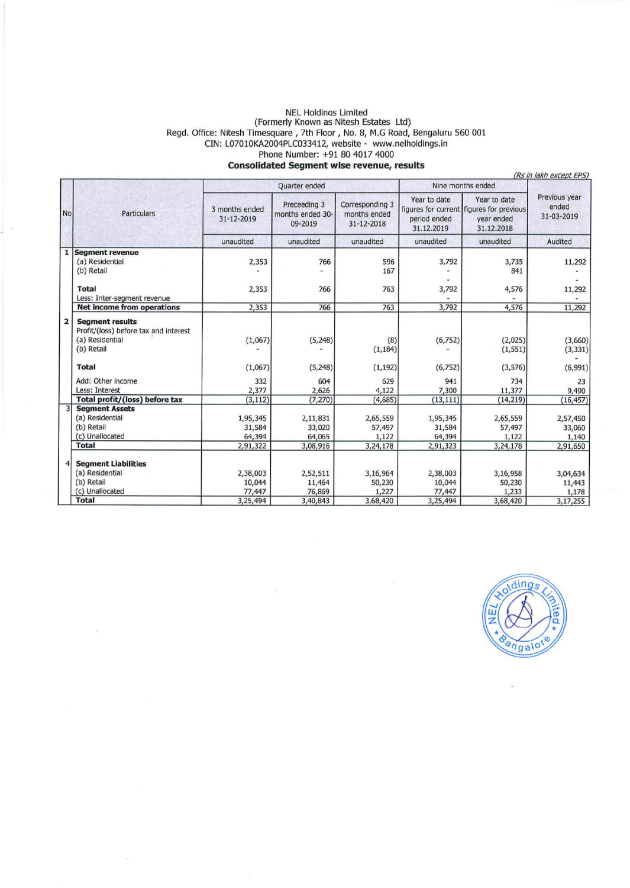### NEL Holdinos Limited (Formerly Known as Nitesh Estates Ltd) Regd. Office: Nitesh Timesquare, 7th Floor, No. 8, M.G Road, Bengaluru 560 001 CIN: L0701OKA2004PLC033412, website - www.nelholdings. ln Phone Number: +91 80 4017 4000

### **Consolidated Segment wise revenue, results**

|                         | (Rs in lakh except EPS)                                                                          |                                          |                                             |                                               |                                            |                                                                                      |                                         |  |
|-------------------------|--------------------------------------------------------------------------------------------------|------------------------------------------|---------------------------------------------|-----------------------------------------------|--------------------------------------------|--------------------------------------------------------------------------------------|-----------------------------------------|--|
|                         | Particulars                                                                                      |                                          | Quarter ended                               |                                               | Nine months ended                          |                                                                                      |                                         |  |
| No                      |                                                                                                  | 3 months ended<br>31-12-2019             | Preceeding 3<br>months ended 30-<br>09-2019 | Corresponding 3<br>months ended<br>31-12-2018 | Year to date<br>period ended<br>31.12.2019 | Year to date<br>figures for current figures for previous<br>year ended<br>31.12.2018 | Previous year<br>ended<br>31-03-2019    |  |
|                         |                                                                                                  | unaudited                                | unaudited                                   | unaudited                                     | unaudited                                  | unaudited                                                                            | Audited                                 |  |
| 1                       | <b>Segment revenue</b><br>(a) Residential<br>(b) Retail                                          | 2,353                                    | 766                                         | 596<br>167                                    | 3,792                                      | 3,735<br>841                                                                         | 11,292                                  |  |
|                         | <b>Total</b><br>Less: Inter-segment revenue                                                      | 2,353                                    | 766                                         | 763                                           | 3,792                                      | 4,576                                                                                | 11,292                                  |  |
|                         | <b>Net income from operations</b>                                                                | 2,353                                    | 766                                         | 763                                           | 3,792                                      | 4,576                                                                                | 11,292                                  |  |
| $\overline{\mathbf{2}}$ | <b>Segment results</b><br>Profit/(loss) before tax and interest<br>(a) Residential<br>(b) Retail | (1,067)                                  | (5,248)                                     | (8)<br>(1, 184)                               | (6, 752)                                   | (2,025)<br>(1, 551)                                                                  | (3,660)<br>(3, 331)                     |  |
|                         | <b>Total</b>                                                                                     | (1,067)                                  | (5,248)                                     | (1, 192)                                      | (6, 752)                                   | (3, 576)                                                                             | (6,991)                                 |  |
|                         | Add: Other income<br>Less: Interest                                                              | 332<br>2,377                             | 604<br>2,626                                | 629<br>4,122                                  | 941<br>7,300                               | 734<br>11,377                                                                        | 23<br>9,490                             |  |
|                         | Total profit/(loss) before tax                                                                   | (3, 112)                                 | (7, 270)                                    | (4,685)                                       | (13, 111)                                  | (14, 219)                                                                            | (16, 457)                               |  |
|                         | <b>Segment Assets</b><br>(a) Residential<br>(b) Retail<br>(c) Unallocated<br><b>Total</b>        | 1,95,345<br>31,584<br>64,394<br>2,91,322 | 2,11,831<br>33,020<br>64,065<br>3,08,916    | 2,65,559<br>57,497<br>1,122<br>3,24,178       | 1,95,345<br>31,584<br>64,394<br>2,91,323   | 2,65,559<br>57,497<br>1,122<br>3,24,178                                              | 2,57,450<br>33,060<br>1,140<br>2,91,650 |  |
|                         | <b>Segment Liabilities</b><br>(a) Residential<br>(b) Retail<br>(c) Unallocated                   | 2,38,003<br>10,044<br>77,447             | 2,52,511<br>11,464<br>76,869                | 3,16,964<br>50,230<br>1,227                   | 2,38,003<br>10,044<br>77,447               | 3,16,958<br>50,230<br>1,233                                                          | 3,04,634<br>11,443<br>1,178             |  |
|                         | <b>Total</b>                                                                                     | 3,25,494                                 | 3,40,843                                    | 3,68,420                                      | 3,25,494                                   | 3,68,420                                                                             | 3,17,255                                |  |

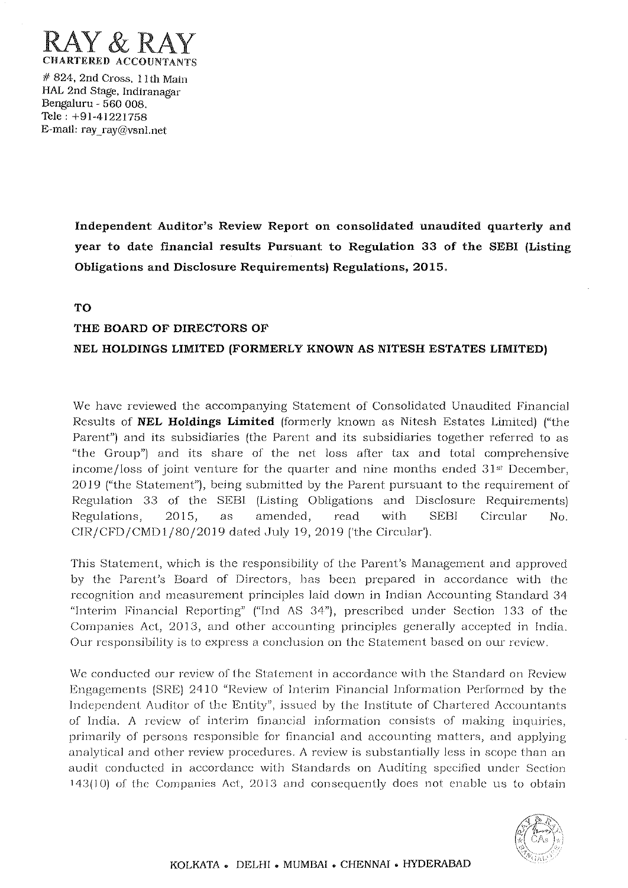

# 824, 2nd Cross, I I th Main HAL 2nd Stage, Indiranagar Bengaluru - 560 008. Tele: +91-41221'758 E-mail: ray ray@vsnl.net

> Independent Auditor's Review Report on consolidated unaudited quarterly and year to date financial results Pursuant to Regulation 33 of the SEBI (Listing Obligations and Disclosure Requirements) Regulations, 2015.

TO

# THE BOARD OF DIRECTORS OF

## NEL HOLDINGS LIMITED (FORMERLY KNOWN AS NITESH ESTATES LIMITED)

We have reviewed the accompanying Statement of Consolidated Unaudited Financial Results of **NEL Holdings Limited** (formerly known as Nitesh Estates Limited) ("the Parent") and its subsidiaries (the Parent and its subsidiaries together referred to as "the Group") and its share of the net loss after tax and total comprehensive income/loss of joint venture for the quarter and nine months ended  $31<sup>st</sup>$  December, 2019 ("the Statement"), being submitted by the Parent pursuant to the requirement of Regulation 33 of the SEBI (Listing Obligations and Disclosure Requirements) Regulations, 2015, as amended, read with SEBI Circular No. CIR/CFD/CMD1/80/2019 dated July 19, 2019 ('the Circular').

This Statement, which is the responsibility of the Parent's Management and approved by the Parent's Board of Directors, has been prepared in accordance with the recognition and measurement principles laid down in Indian Accounting Standard 34 "Interim Financial Reporting" ("Ind AS 34"), prescribed under Section 133 of the Companies Act, 2013, and other accounting principles generally accepted in India. Our responsibility is to express a conclusion on the Statement based on our review.

We conducted our review of the Statement in accordance with the Standard on Review Engagements (SRE) 2410 "Review of Interim Financial Information Performed by the Independent Auditor of the Entity", issued by the Institute of Chartered Accountants of India. A review of interim financial information consists of making inquiries, primarily of persons responsible for financial and accounting matters, and applying analytical and other review procedures. A review is substantially less in scope than an audit conducted in accordance with Standards on Auditing specified under Section  $143(10)$  of the Companies Act, 2013 and consequently does not enable us to obtain

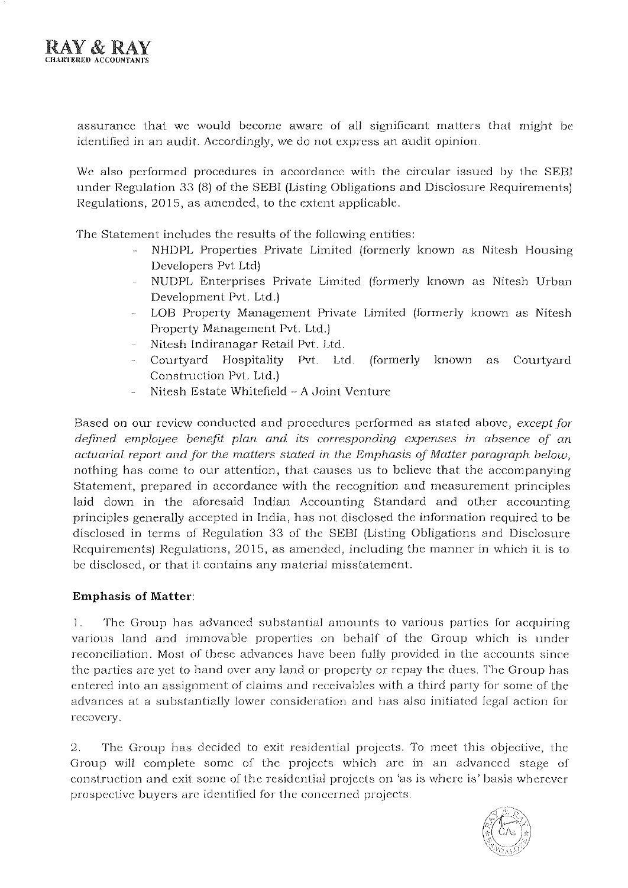

assurance that we would become aware of all significant matters that might be identified in an audit. Accordingly, we do not express an audit opinion.

We also performed procedures in accordance with the circular issued by the SEBI under Regulation 33  $(8)$  of the SEBI (Listing Obligations and Disclosure Requirements) Regulations, 2015, as amended, to the extent applicable.

The Statement includes the results of the following entities:

- NHDPL Properties Private Limited (formerly known as Nitesh Housing Developers Pvt Ltd)
- NUDPL Enterprises Private Limited (forrnerly known as Nitesh Urban Development Pvt, Ltd.)
- LOB Property Management Private Limited (formerly known as Nitesh Property Management Pvt. Ltd,)
- Nitcsh Indiranagar Retail Pvt. Ltd,
- Courtyard Hospitality Pvt. Ltd, (formerly known as Courtyard Construction Pvt. Ltd.)
- Nitesh Estate Whitefield A Joint Venture

Based on our review conducted and procedures performed as stated above, *except for defined employee benefit plan and its corresponding expenses in absence* of *an actuarial report and for the matters stated in the Emphasis* of *Matter paragraph below,*  nothing has come to our attention, that causes us to believe that the accompanying Statement, prepared in accordance with the recognition and measurement principles laid down in the aforesaid Indian Accounting Standard and other accounting principles generally accepted in India, has not disclosed the information required to be disclosed in terms of Regulation 33 of the SEBI (Listing Obligations and Disclosure Requirements) Regulations, 2015, as amended, including the manner in which it is to be disclosed, or that it contains any material misstatement.

## **Emphasis of Matter:**

1. The Group has advanced substantial amounts to various parties for acquiring various land and imrnovable properties on behalf of the Group which is under reconciliation. Most of these advances have been fully provided in the accounts since the parties are yel to hand over any land or property or repay the dues, The Group has entered into an assignment of claims and receivables with a third party for some of the advances al a substantially lower consideration and has also initiated legal action for **recovery.** 

2, The Group has decided to exit residential projects, To meet this objective, the Group will complete some of the projects which arc in an advanced stage of construction and exit some of the residential projects on 'as is where is' basis wherever prospective buyers are identifled for the concerned projects,